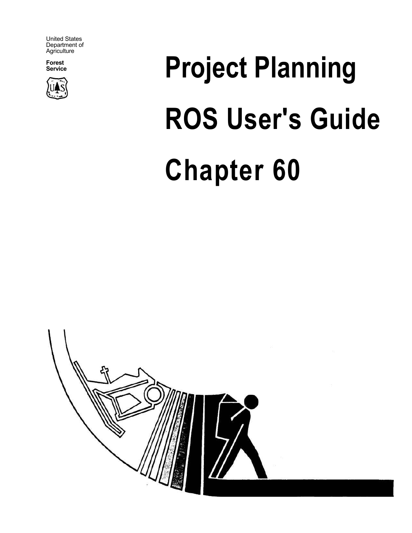United States Department of Agriculture

**Forest** 



# **Project Planning ROS User's Guide Chapter 60**

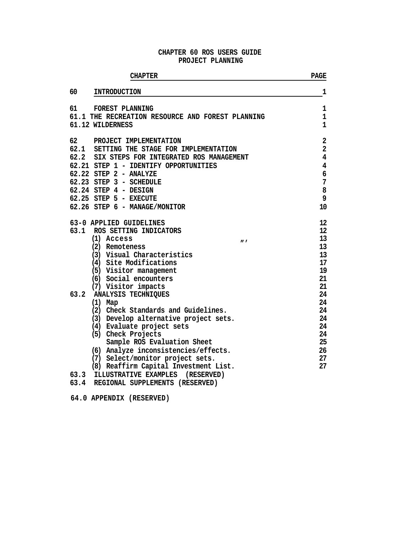# **CHAPTER 60 ROS USERS GUIDE PROJECT PLANNING**

| <b>CHAPTER</b>                                                                                | <b>PAGE</b>                       |
|-----------------------------------------------------------------------------------------------|-----------------------------------|
| 60<br><b>INTRODUCTION</b>                                                                     | 1                                 |
| 61<br>FOREST PLANNING<br>61.1 THE RECREATION RESOURCE AND FOREST PLANNING<br>61.12 WILDERNESS | 1<br>$\mathbf{1}$<br>$\mathbf{1}$ |
|                                                                                               |                                   |
| 62<br>PROJECT IMPLEMENTATION                                                                  | $\mathbf{2}$                      |
| 62.1<br>SETTING THE STAGE FOR IMPLEMENTATION                                                  | $\overline{\mathbf{2}}$           |
| 62.2<br>SIX STEPS FOR INTEGRATED ROS MANAGEMENT                                               | $\overline{\mathbf{4}}$           |
| 62.21 STEP 1 - IDENTIFY OPPORTUNITIES                                                         | $\overline{\mathbf{4}}$           |
| 62.22 STEP 2 - ANALYZE                                                                        | 6                                 |
| 62.23 STEP 3 - SCHEDULE                                                                       | 7                                 |
| 62.24 STEP 4 - DESIGN                                                                         | 8                                 |
| 62.25 STEP 5 - EXECUTE                                                                        | 9                                 |
| 62.26 STEP 6 - MANAGE/MONITOR                                                                 | 10                                |
| 63-0 APPLIED GUIDELINES                                                                       | 12                                |
| 63.1 ROS SETTING INDICATORS                                                                   | 12                                |
| (1) Access<br>$\boldsymbol{H}$                                                                | 13                                |
| (2) Remoteness                                                                                | 13                                |
| (3) Visual Characteristics                                                                    | 13                                |
| (4) Site Modifications                                                                        | 17                                |
| (5) Visitor management                                                                        | 19                                |
| (6) Social encounters                                                                         | 21                                |
| (7) Visitor impacts                                                                           | 21                                |
| 63.2 ANALYSIS TECHNIQUES                                                                      | 24                                |
| $(1)$ Map                                                                                     | 24                                |
| (2) Check Standards and Guidelines.                                                           | 24                                |
| (3) Develop alternative project sets.                                                         | 24                                |
| (4) Evaluate project sets                                                                     | 24                                |
| (5) Check Projects                                                                            | 24                                |
| Sample ROS Evaluation Sheet                                                                   | 25                                |
| (6) Analyze inconsistencies/effects.                                                          | 26                                |
| (7) Select/monitor project sets.                                                              | 27                                |
| (8) Reaffirm Capital Investment List.                                                         | 27                                |
| ILLUSTRATIVE EXAMPLES<br>63.3<br>(RESERVED)                                                   |                                   |
| REGIONAL SUPPLEMENTS (RESERVED)<br>63.4                                                       |                                   |

**64.0 APPENDIX (RESERVED)**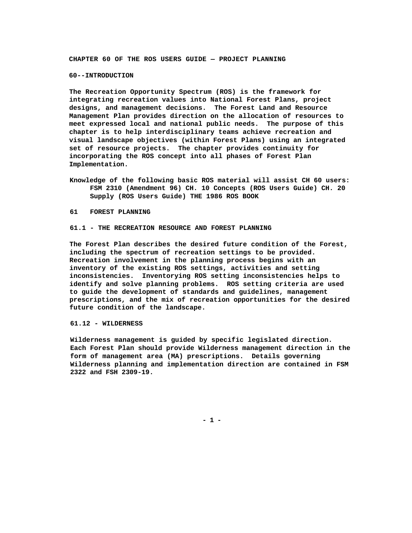**CHAPTER 60 OF THE ROS USERS GUIDE — PROJECT PLANNING** 

#### **60--INTRODUCTION**

**The Recreation Opportunity Spectrum (ROS) is the framework for integrating recreation values into National Forest Plans, project designs, and management decisions. The Forest Land and Resource Management Plan provides direction on the allocation of resources to meet expressed local and national public needs. The purpose of this chapter is to help interdisciplinary teams achieve recreation and visual landscape objectives (within Forest Plans) using an integrated set of resource projects. The chapter provides continuity for incorporating the ROS concept into all phases of Forest Plan Implementation.** 

**Knowledge of the following basic ROS material will assist CH 60 users: FSM 2310 (Amendment 96) CH. 10 Concepts (ROS Users Guide) CH. 20 Supply (ROS Users Guide) THE 1986 ROS BOOK** 

#### **61 FOREST PLANNING**

#### **61.1 - THE RECREATION RESOURCE AND FOREST PLANNING**

**The Forest Plan describes the desired future condition of the Forest, including the spectrum of recreation settings to be provided. Recreation involvement in the planning process begins with an inventory of the existing ROS settings, activities and setting inconsistencies. Inventorying ROS setting inconsistencies helps to identify and solve planning problems. ROS setting criteria are used to guide the development of standards and guidelines, management prescriptions, and the mix of recreation opportunities for the desired future condition of the landscape.** 

#### **61.12 - WILDERNESS**

**Wilderness management is guided by specific legislated direction. Each Forest Plan should provide Wilderness management direction in the form of management area (MA) prescriptions. Details governing Wilderness planning and implementation direction are contained in FSM 2322 and FSH 2309-19.** 

**- 1 -**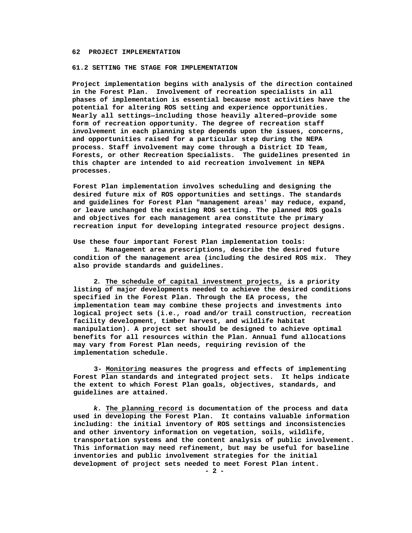#### **62 PROJECT IMPLEMENTATION**

#### **61.2 SETTING THE STAGE FOR IMPLEMENTATION**

**Project implementation begins with analysis of the direction contained in the Forest Plan. Involvement of recreation specialists in all phases of implementation is essential because most activities have the potential for altering ROS setting and experience opportunities. Nearly all settings—including those heavily altered—provide some form of recreation opportunity. The degree of recreation staff involvement in each planning step depends upon the issues, concerns, and opportunities raised for a particular step during the NEPA process. Staff involvement may come through a District ID Team, Forests, or other Recreation Specialists. The guidelines presented in this chapter are intended to aid recreation involvement in NEPA processes.** 

**Forest Plan implementation involves scheduling and designing the desired future mix of ROS opportunities and settings. The standards and guidelines for Forest Plan "management areas' may reduce, expand, or leave unchanged the existing ROS setting. The planned ROS goals and objectives for each management area constitute the primary recreation input for developing integrated resource project designs.** 

**Use these four important Forest Plan implementation tools:** 

**1. Management area prescriptions, describe the desired future condition of the management area (including the desired ROS mix. They also provide standards and guidelines.** 

**2. The schedule of capital investment projects, is a priority listing of major developments needed to achieve the desired conditions specified in the Forest Plan. Through the EA process, the implementation team may combine these projects and investments into logical project sets (i.e., road and/or trail construction, recreation facility development, timber harvest, and wildlife habitat manipulation). A project set should be designed to achieve optimal benefits for all resources within the Plan. Annual fund allocations may vary from Forest Plan needs, requiring revision of the implementation schedule.** 

**3- Monitoring measures the progress and effects of implementing Forest Plan standards and integrated project sets. It helps indicate the extent to which Forest Plan goals, objectives, standards, and guidelines are attained.** 

*k.* **The planning record is documentation of the process and data used in developing the Forest Plan. It contains valuable information including: the initial inventory of ROS settings and inconsistencies and other inventory information on vegetation, soils, wildlife, transportation systems and the content analysis of public involvement. This information may need refinement, but may be useful for baseline inventories and public involvement strategies for the initial development of project sets needed to meet Forest Plan intent.**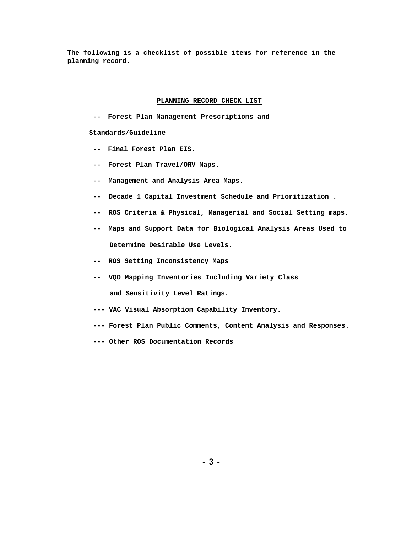**The following is a checklist of possible items for reference in the planning record.** 

#### **PLANNING RECORD CHECK LIST**

**-- Forest Plan Management Prescriptions and** 

**Standards/Guideline** 

- **-- Final Forest Plan EIS.**
- **-- Forest Plan Travel/ORV Maps.**
- **-- Management and Analysis Area Maps.**
- **-- Decade 1 Capital Investment Schedule and Prioritization .**
- **-- ROS Criteria & Physical, Managerial and Social Setting maps.**
- **-- Maps and Support Data for Biological Analysis Areas Used to Determine Desirable Use Levels.**
- **-- ROS Setting Inconsistency Maps**
- **-- VQO Mapping Inventories Including Variety Class and Sensitivity Level Ratings.**
- **--- VAC Visual Absorption Capability Inventory.**
- **--- Forest Plan Public Comments, Content Analysis and Responses.**
- **--- Other ROS Documentation Records**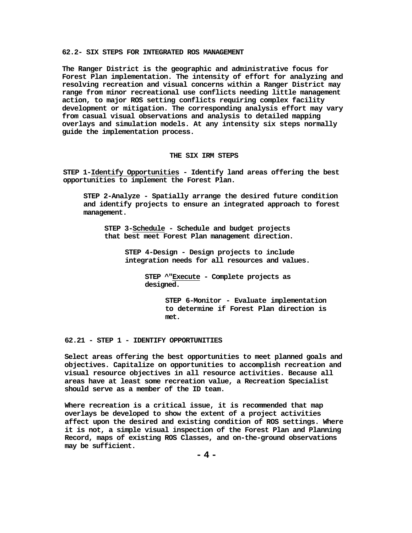#### **62.2- SIX STEPS FOR INTEGRATED ROS MANAGEMENT**

**The Ranger District is the geographic and administrative focus for Forest Plan implementation. The intensity of effort for analyzing and resolving recreation and visual concerns within a Ranger District may range from minor recreational use conflicts needing little management action, to major ROS setting conflicts requiring complex facility development or mitigation. The corresponding analysis effort may vary from casual visual observations and analysis to detailed mapping overlays and simulation models. At any intensity six steps normally guide the implementation process.**

#### **THE SIX IRM STEPS**

**STEP 1-Identify Opportunities - Identify land areas offering the best opportunities to implement the Forest Plan.**

**STEP 2-Analyze - Spatially arrange the desired future condition and identify projects to ensure an integrated approach to forest management.**

**STEP 3-Schedule - Schedule and budget projects that best meet Forest Plan management direction.**

> **STEP 4-Design - Design projects to include integration needs for all resources and values.**

> > **STEP ^"Execute - Complete projects as designed.**

> > > **STEP 6-Monitor - Evaluate implementation to determine if Forest Plan direction is met.**

# **62.21 - STEP 1 - IDENTIFY OPPORTUNITIES**

**Select areas offering the best opportunities to meet planned goals and objectives. Capitalize on opportunities to accomplish recreation and visual resource objectives in all resource activities. Because all areas have at least some recreation value, a Recreation Specialist should serve as a member of the ID team.**

**Where recreation is a critical issue, it is recommended that map overlays be developed to show the extent of a project activities affect upon the desired and existing condition of ROS settings. Where it is not, a simple visual inspection of the Forest Plan and Planning Record, maps of existing ROS Classes, and on-the-ground observations may be sufficient.**

**- 4 -**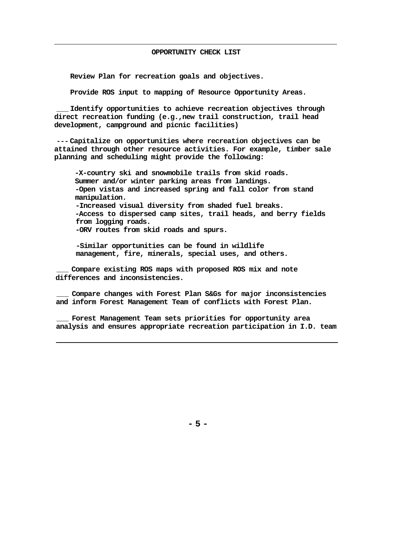# **OPPORTUNITY CHECK LIST**

**Review Plan for recreation goals and objectives.**

**Provide ROS input to mapping of Resource Opportunity Areas.**

**\_\_\_ Identify opportunities to achieve recreation objectives through direct recreation funding (e.g.,new trail construction, trail head development, campground and picnic facilities)**

**--- Capitalize on opportunities where recreation objectives can be attained through other resource activities. For example, timber sale planning and scheduling might provide the following:**

**-X-country ski and snowmobile trails from skid roads. Summer and/or winter parking areas from landings. -Open vistas and increased spring and fall color from stand manipulation. -Increased visual diversity from shaded fuel breaks. -Access to dispersed camp sites, trail heads, and berry fields from logging roads. -ORV routes from skid roads and spurs.**

**-Similar opportunities can be found in wildlife management, fire, minerals, special uses, and others.**

**\_\_\_ Compare existing ROS maps with proposed ROS mix and note differences and inconsistencies.**

**\_\_\_ Compare changes with Forest Plan S&Gs for major inconsistencies and inform Forest Management Team of conflicts with Forest Plan.**

**\_\_\_ Forest Management Team sets priorities for opportunity area analysis and ensures appropriate recreation participation in I.D. team**

**- 5 -**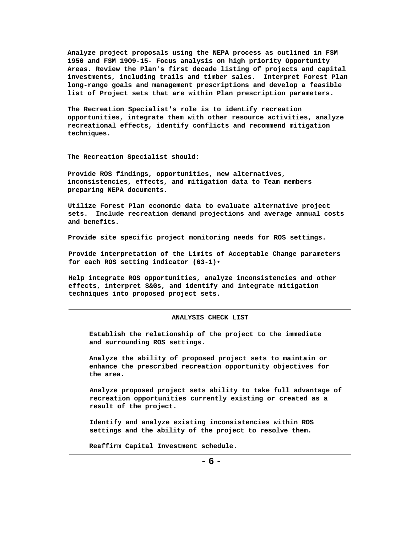**Analyze project proposals using the NEPA process as outlined in FSM 1950 and FSM 19O9-15- Focus analysis on high priority Opportunity Areas. Review the Plan's first decade listing of projects and capital investments, including trails and timber sales. Interpret Forest Plan long-range goals and management prescriptions and develop a feasible list of Project sets that are within Plan prescription parameters.** 

**The Recreation Specialist's role is to identify recreation opportunities, integrate them with other resource activities, analyze recreational effects, identify conflicts and recommend mitigation techniques.** 

**The Recreation Specialist should:** 

**Provide ROS findings, opportunities, new alternatives, inconsistencies, effects, and mitigation data to Team members preparing NEPA documents.** 

**Utilize Forest Plan economic data to evaluate alternative project sets. Include recreation demand projections and average annual costs and benefits.** 

**Provide site specific project monitoring needs for ROS settings.** 

**Provide interpretation of the Limits of Acceptable Change parameters for each ROS setting indicator (63-1)•** 

**Help integrate ROS opportunities, analyze inconsistencies and other effects, interpret S&Gs, and identify and integrate mitigation techniques into proposed project sets.** 

#### **ANALYSIS CHECK LIST**

**Establish the relationship of the project to the immediate and surrounding ROS settings.** 

**Analyze the ability of proposed project sets to maintain or enhance the prescribed recreation opportunity objectives for the area.** 

**Analyze proposed project sets ability to take full advantage of recreation opportunities currently existing or created as a result of the project.** 

**Identify and analyze existing inconsistencies within ROS settings and the ability of the project to resolve them.** 

**Reaffirm Capital Investment schedule.**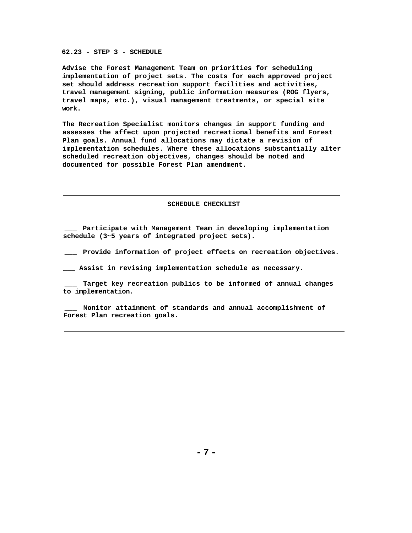**62.23 - STEP 3 - SCHEDULE** 

**Advise the Forest Management Team on priorities for scheduling implementation of project sets. The costs for each approved project set should address recreation support facilities and activities, travel management signing, public information measures (ROG flyers, travel maps, etc.), visual management treatments, or special site work.** 

**The Recreation Specialist monitors changes in support funding and assesses the affect upon projected recreational benefits and Forest Plan goals. Annual fund allocations may dictate a revision of implementation schedules. Where these allocations substantially alter scheduled recreation objectives, changes should be noted and documented for possible Forest Plan amendment.** 

**SCHEDULE CHECKLIST** 

**\_\_\_ Participate with Management Team in developing implementation schedule (3~5 years of integrated project sets).** 

**\_\_\_ Provide information of project effects on recreation objectives.** 

**\_\_\_ Assist in revising implementation schedule as necessary.** 

**\_\_\_ Target key recreation publics to be informed of annual changes to implementation.** 

**\_\_\_ Monitor attainment of standards and annual accomplishment of Forest Plan recreation goals.**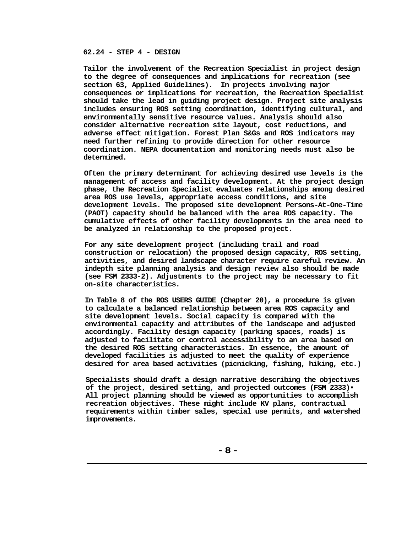# **62.24 - STEP 4 - DESIGN**

**Tailor the involvement of the Recreation Specialist in project design to the degree of consequences and implications for recreation (see section 63, Applied Guidelines). In projects involving major consequences or implications for recreation, the Recreation Specialist should take the lead in guiding project design. Project site analysis includes ensuring ROS setting coordination, identifying cultural, and environmentally sensitive resource values. Analysis should also consider alternative recreation site layout, cost reductions, and adverse effect mitigation. Forest Plan S&Gs and ROS indicators may need further refining to provide direction for other resource coordination. NEPA documentation and monitoring needs must also be determined.**

**Often the primary determinant for achieving desired use levels is the management of access and facility development. At the project design phase, the Recreation Specialist evaluates relationships among desired area ROS use levels, appropriate access conditions, and site development levels. The proposed site development Persons-At-One-Time (PAOT) capacity should be balanced with the area ROS capacity. The cumulative effects of other facility developments in the area need to be analyzed in relationship to the proposed project.**

**For any site development project (including trail and road construction or relocation) the proposed design capacity, ROS setting, activities, and desired landscape character require careful review. An indepth site planning analysis and design review also should be made (see FSM 2333-2). Adjustments to the project may be necessary to fit on-site characteristics.**

**In Table 8 of the ROS USERS GUIDE (Chapter 20), a procedure is given to calculate a balanced relationship between area ROS capacity and site development levels. Social capacity is compared with the environmental capacity and attributes of the landscape and adjusted accordingly. Facility design capacity (parking spaces, roads) is adjusted to facilitate or control accessibility to an area based on the desired ROS setting characteristics. In essence, the amount of developed facilities is adjusted to meet the quality of experience desired for area based activities (picnicking, fishing, hiking, etc.)**

**Specialists should draft a design narrative describing the objectives of the project, desired setting, and projected outcomes (FSM 2333)• All project planning should be viewed as opportunities to accomplish recreation objectives. These might include KV plans, contractual requirements within timber sales, special use permits, and watershed improvements.**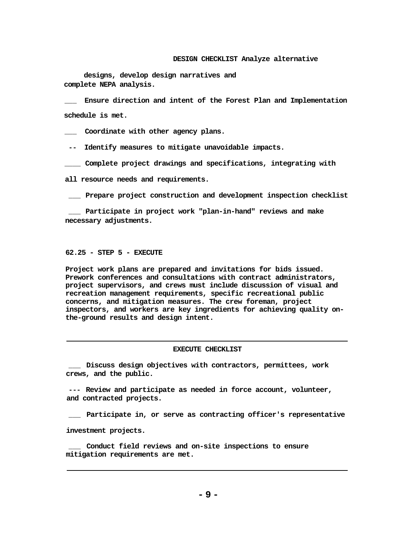#### **DESIGN CHECKLIST Analyze alternative**

**designs, develop design narratives and complete NEPA analysis.**

**\_\_\_ Ensure direction and intent of the Forest Plan and Implementation schedule is met.**

**\_\_\_ Coordinate with other agency plans.**

**-- Identify measures to mitigate unavoidable impacts.**

**\_\_\_\_ Complete project drawings and specifications, integrating with**

**all resource needs and requirements.**

**\_\_\_ Prepare project construction and development inspection checklist**

**\_\_\_ Participate in project work "plan-in-hand" reviews and make necessary adjustments.**

#### **62.25 - STEP 5 - EXECUTE**

**Project work plans are prepared and invitations for bids issued. Prework conferences and consultations with contract administrators, project supervisors, and crews must include discussion of visual and recreation management requirements, specific recreational public concerns, and mitigation measures. The crew foreman, project inspectors, and workers are key ingredients for achieving quality onthe-ground results and design intent.**

#### **EXECUTE CHECKLIST**

**\_\_\_ Discuss design objectives with contractors, permittees, work crews, and the public.**

**--- Review and participate as needed in force account, volunteer, and contracted projects.**

**\_\_\_ Participate in, or serve as contracting officer's representative**

**investment projects.**

**\_\_\_ Conduct field reviews and on-site inspections to ensure mitigation requirements are met.**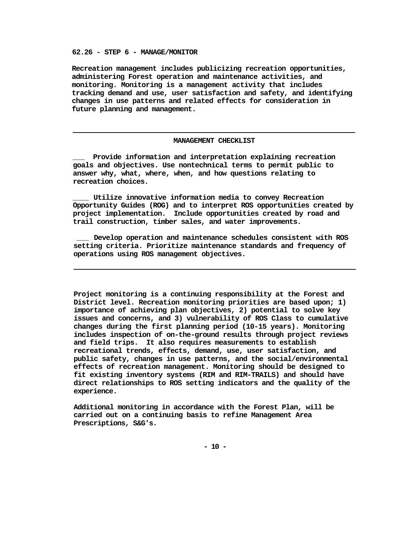#### **62.26 - STEP 6 - MANAGE/MONITOR**

**Recreation management includes publicizing recreation opportunities, administering Forest operation and maintenance activities, and monitoring. Monitoring is a management activity that includes tracking demand and use, user satisfaction and safety, and identifying changes in use patterns and related effects for consideration in future planning and management.**

#### **MANAGEMENT CHECKLIST**

**\_\_\_ Provide information and interpretation explaining recreation goals and objectives. Use nontechnical terms to permit public to answer why, what, where, when, and how questions relating to recreation choices.**

**\_\_\_\_ Utilize innovative information media to convey Recreation Opportunity Guides (ROG) and to interpret ROS opportunities created by project implementation. Include opportunities created by road and trail construction, timber sales, and water improvements.**

**\_\_\_ Develop operation and maintenance schedules consistent with ROS setting criteria. Prioritize maintenance standards and frequency of operations using ROS management objectives.**

**Project monitoring is a continuing responsibility at the Forest and District level. Recreation monitoring priorities are based upon; 1) importance of achieving plan objectives, 2) potential to solve key issues and concerns, and 3) vulnerability of ROS Class to cumulative changes during the first planning period (10-15 years). Monitoring includes inspection of on-the-ground results through project reviews and field trips. It also requires measurements to establish recreational trends, effects, demand, use, user satisfaction, and public safety, changes in use patterns, and the social/environmental effects of recreation management. Monitoring should be designed to fit existing inventory systems (RIM and RIM-TRAILS) and should have direct relationships to ROS setting indicators and the quality of the experience.**

**Additional monitoring in accordance with the Forest Plan, will be carried out on a continuing basis to refine Management Area Prescriptions, S&G's.**

**- 10 -**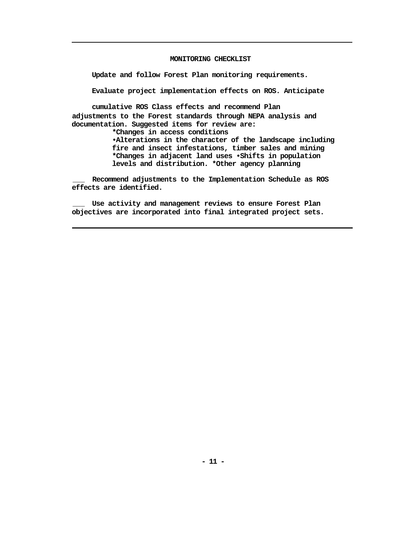#### **MONITORING CHECKLIST**

**Update and follow Forest Plan monitoring requirements.** 

**Evaluate project implementation effects on ROS. Anticipate**

**cumulative ROS Class effects and recommend Plan adjustments to the Forest standards through NEPA analysis and documentation. Suggested items for review are:** 

**\*Changes in access conditions**

**•Alterations in the character of the landscape including fire and insect infestations, timber sales and mining \*Changes in adjacent land uses •Shifts in population levels and distribution. \*Other agency planning**

**\_\_\_ Recommend adjustments to the Implementation Schedule as ROS effects are identified.**

**\_\_\_ Use activity and management reviews to ensure Forest Plan objectives are incorporated into final integrated project sets.**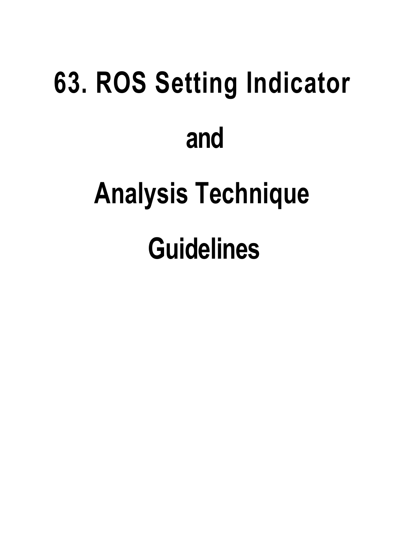# **63. ROS Setting Indicator and Analysis Technique Guidelines**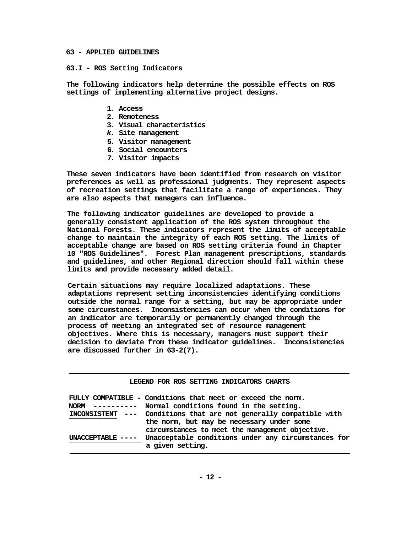## **63 - APPLIED GUIDELINES**

## **63.I - ROS Setting Indicators**

**The following indicators help determine the possible effects on ROS settings of implementing alternative project designs.**

- **1. Access**
- **2. Remoteness**
- **3. Visual characteristics**
- *k.* **Site management**
- **5. Visitor management**
- **6. Social encounters**
- **7. Visitor impacts**

**These seven indicators have been identified from research on visitor preferences as well as professional judgments. They represent aspects of recreation settings that facilitate a range of experiences. They are also aspects that managers can influence.**

**The following indicator guidelines are developed to provide a generally consistent application of the ROS system throughout the National Forests. These indicators represent the limits of acceptable change to maintain the integrity of each ROS setting. The limits of acceptable change are based on ROS setting criteria found in Chapter 10 "ROS Guidelines". Forest Plan management prescriptions, standards and guidelines, and other Regional direction should fall within these limits and provide necessary added detail.**

**Certain situations may require localized adaptations. These adaptations represent setting inconsistencies identifying conditions outside the normal range for a setting, but may be appropriate under some circumstances. Inconsistencies can occur when the conditions for an indicator are temporarily or permanently changed through the process of meeting an integrated set of resource management objectives. Where this is necessary, managers must support their decision to deviate from these indicator guidelines. Inconsistencies are discussed further in 63-2(7).**

|  |  |  |  | LEGEND FOR ROS SETTING INDICATORS CHARTS |  |
|--|--|--|--|------------------------------------------|--|
|--|--|--|--|------------------------------------------|--|

| -----------<br><b>NORM</b> | FULLY COMPATIBLE - Conditions that meet or exceed the norm.<br>Normal conditions found in the setting. |
|----------------------------|--------------------------------------------------------------------------------------------------------|
|                            | INCONSISTENT --- Conditions that are not generally compatible with                                     |
|                            | the norm, but may be necessary under some<br>circumstances to meet the management objective.           |
| $UNACCEPTABLE$ ----        | Unacceptable conditions under any circumstances for<br>a given setting.                                |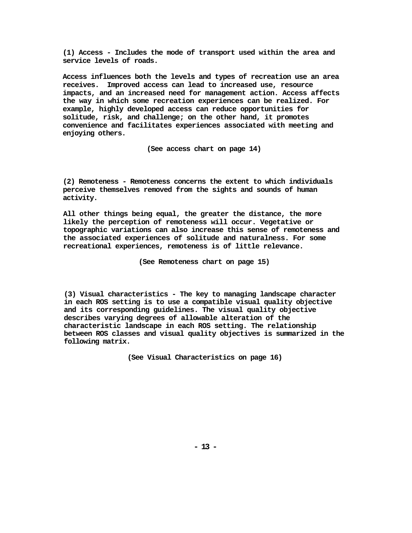**(1) Access - Includes the mode of transport used within the area and service levels of roads.**

**Access influences both the levels and types of recreation use an area receives. Improved access can lead to increased use, resource impacts, and an increased need for management action. Access affects the way in which some recreation experiences can be realized. For example, highly developed access can reduce opportunities for solitude, risk, and challenge; on the other hand, it promotes convenience and facilitates experiences associated with meeting and enjoying others.**

**(See access chart on page 14)**

**(2) Remoteness - Remoteness concerns the extent to which individuals perceive themselves removed from the sights and sounds of human activity.**

**All other things being equal, the greater the distance, the more likely the perception of remoteness will occur. Vegetative or topographic variations can also increase this sense of remoteness and the associated experiences of solitude and naturalness. For some recreational experiences, remoteness is of little relevance.**

**(See Remoteness chart on page 15)**

**(3) Visual characteristics - The key to managing landscape character in each ROS setting is to use a compatible visual quality objective and its corresponding guidelines. The visual quality objective describes varying degrees of allowable alteration of the characteristic landscape in each ROS setting. The relationship between ROS classes and visual quality objectives is summarized in the following matrix.**

**(See Visual Characteristics on page 16)**

**- 13 -**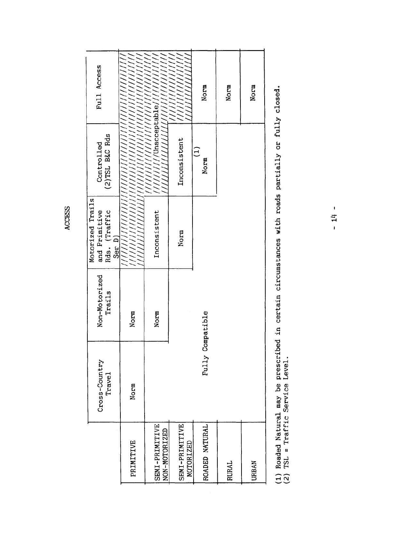|                                    | Cross-Country<br>Travel | Non-Motorized<br>Trails | Motorized Trails<br>and Primitive<br>Rds. (Traffic<br>Ser D) | (2)TSL B&C Rds<br>Controlled | Full Access                   |
|------------------------------------|-------------------------|-------------------------|--------------------------------------------------------------|------------------------------|-------------------------------|
| PRIMITIVE                          | Norm                    | Norm                    |                                                              |                              |                               |
| SEMI-PRIMITIVE<br>NON-MOTORIZED    |                         | Norm                    | Inconsistent                                                 | //////////Unacceptable///    |                               |
| SEMI-PRIMITIVE<br><b>MOTORIZED</b> |                         |                         | Norm                                                         | Inconsistent                 | ,,,,,,,,,,,,,,,<br>,,,,,,,,,, |
| ROADED NATURAL                     | Fully                   | Compatible              |                                                              | Ξ<br>Norm                    | Norm                          |
| RURAL                              |                         |                         |                                                              |                              | Norm                          |
| <b>URBAN</b>                       |                         |                         |                                                              |                              | Norm                          |
|                                    |                         |                         |                                                              |                              |                               |

**ACCESS** 

(1) Roaded Natural may be prescribed in certain circumstances with roads partially or fully closed.<br>(2) TSL = Traffic Service Level.

 $-14 -$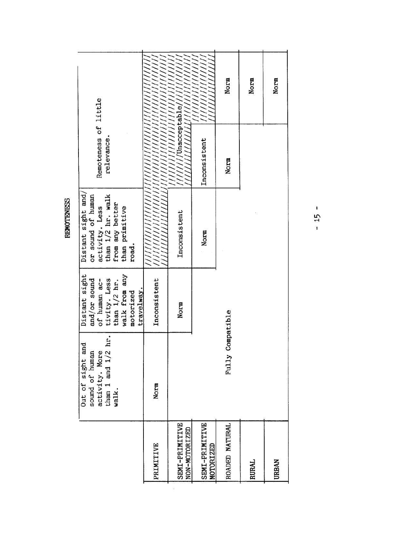|            |                                               |                                         |                                   |           |            |              |                |               |                             | Norm           | Norm         | Norm         |
|------------|-----------------------------------------------|-----------------------------------------|-----------------------------------|-----------|------------|--------------|----------------|---------------|-----------------------------|----------------|--------------|--------------|
|            | Remoteness of little                          | relevance.                              |                                   |           |            |              | Unacceptable   |               | Inconsistent                | Norm           |              |              |
| REMOTENESS | Distant sight and<br>or sound of human        | activity. Less<br>than 1/2 hr. walk     | from any better<br>than primitive | road.     |            | ,,,,,        | Inconsistent   |               | Norm                        |                |              |              |
|            | Distant sight<br>and/or sound<br>of human ac- | tivity. Less                            | walk from any<br>than $1/2$ hr.   | motorized | travelway. | Inconsistent | Norm           |               |                             | Compatible     |              |              |
|            | Out of sight and<br>sound of human            | hr.<br>activity. More<br>than 1 and 1/2 | walk.                             |           |            | Norm         |                |               |                             | Fully          |              |              |
|            |                                               |                                         |                                   |           |            | PRIMITIVE    | SEMI-PRIMITIVE | NON-MOTORIZED | SEMI-PRIMITIVE<br>MOTORIZED | ROADED NATURAL | <b>RURAL</b> | <b>URBAN</b> |
|            |                                               |                                         |                                   |           |            |              |                |               |                             |                |              |              |

 $-15 -$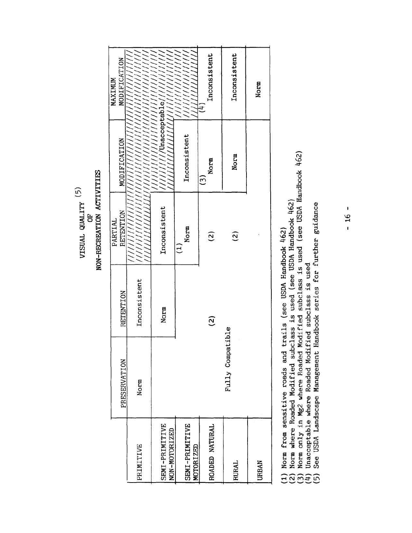VISUAL QUALITY  $\left( 5\right)$ 

GF

NON-RECREATION ACTIVITIES

|                                    | PRESERVATION     | RETENTION       | RETENTION<br>PARTIAL | MODIFICATION                       | MODIFICATION<br>MAXIMUM        |
|------------------------------------|------------------|-----------------|----------------------|------------------------------------|--------------------------------|
| PRIMITIVE                          | Norm             | Inconsistent    |                      |                                    |                                |
| SEMI-PRIMITIVE<br>NON-MOTORIZED    |                  | Norm            | Inconsistent         | //////////Unacceptable//////////// |                                |
| SEMI-PRIMITIVE<br><b>MOTORIZED</b> |                  |                 | Norm                 | Inconsistent                       | ,,,,,,,,,,,,                   |
| ROADED NATURAL                     |                  | $\widetilde{c}$ | $\widetilde{c}$      | Norm<br>$\widetilde{\mathbb{S}}$   | Inconsistent<br>$\overline{1}$ |
| RURAL                              | Fully Compatible |                 | $\widetilde{a}$      | Norm                               | Inconsistent                   |
| URBAN                              |                  |                 |                      |                                    | Norm                           |
|                                    |                  |                 |                      |                                    |                                |

(1) Norm from sensitive roads and trails (see USDA Handbook  $462$ )<br>(2) Norm where Roaded Modified subclass is used (see USDA Handbook  $462$ )<br>(3) Norm only in Mg2 where Roaded Modified subclass is used (see USDA Handbook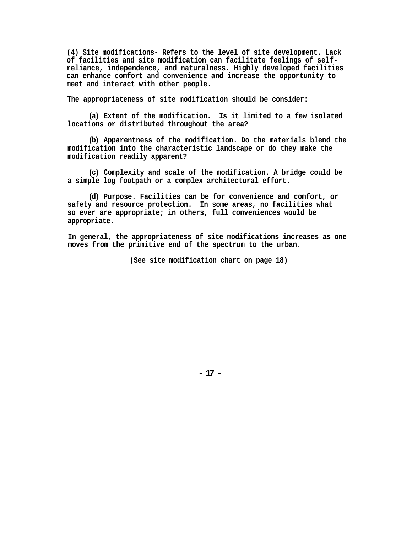**(4) Site modifications- Refers to the level of site development. Lack of facilities and site modification can facilitate feelings of selfreliance, independence, and naturalness. Highly developed facilities can enhance comfort and convenience and increase the opportunity to meet and interact with other people.**

**The appropriateness of site modification should be consider:**

**(a) Extent of the modification. Is it limited to a few isolated locations or distributed throughout the area?** 

**(b) Apparentness of the modification. Do the materials blend the modification into the characteristic landscape or do they make the modification readily apparent?** 

**(c) Complexity and scale of the modification. A bridge could be a simple log footpath or a complex architectural effort.** 

**(d) Purpose. Facilities can be for convenience and comfort, or safety and resource protection. In some areas, no facilities what so ever are appropriate; in others, full conveniences would be appropriate.** 

**In general, the appropriateness of site modifications increases as one moves from the primitive end of the spectrum to the urban.**

**(See site modification chart on page 18)**

**- 17 -**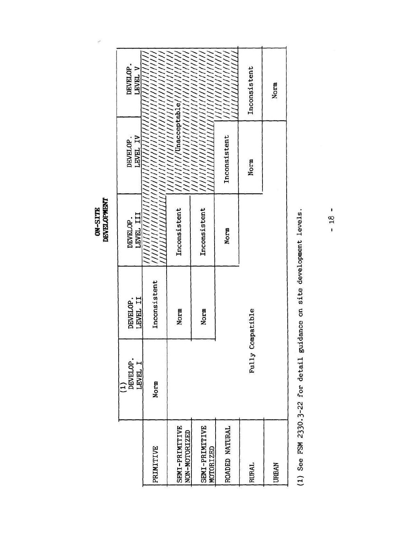ON-SITE<br>DEVELOPMENT

Š

|                                 | DEVELOP.<br>LEVEL I<br>$\hat{1}$ | LEVEL II<br>DEVELOP. | LEVEL III<br>DEVELOP. | <b>LEVEL IV</b><br>DEVELOP. | DEVELOP.<br>LEVEL V    |
|---------------------------------|----------------------------------|----------------------|-----------------------|-----------------------------|------------------------|
| PRIMITIVE                       | Norm                             | Inconsistent         |                       |                             |                        |
| SEMI-PRIMITIVE<br>NON-MOTORIZED |                                  | <b>Norm</b>          | Inconsistent          | ////////Unacceptable//////  |                        |
| SEMI-PRIMITIVE<br>MOTORIZED     |                                  | Norm                 | Inconsistent          |                             | ,,,,,,,,,,,,,,,,,,,    |
| ROADED NATURAL                  |                                  |                      | <b>Norm</b>           | Inconsistent                | ,,,,,,,,,<br>,,,,,,,,, |
| <b>RURAL</b>                    | Fully Compatible                 |                      |                       | Norm                        | Inconsistent           |
| <b>URBAN</b>                    |                                  |                      |                       |                             | Norm                   |

(1) See FSM 2330.3-22 for detail guidance on site development levels.

 $-18-$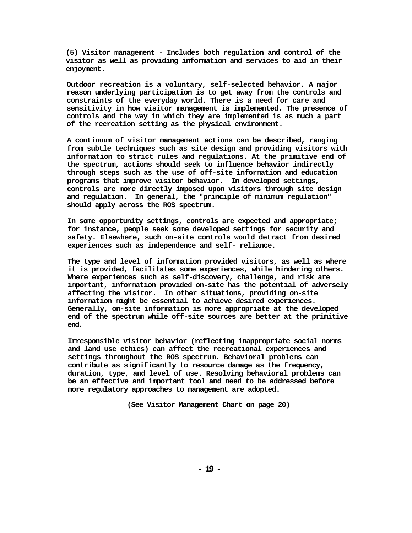**(5) Visitor management - Includes both regulation and control of the visitor as well as providing information and services to aid in their enjoyment.**

**Outdoor recreation is a voluntary, self-selected behavior. A major reason underlying participation is to get away from the controls and constraints of the everyday world. There is a need for care and sensitivity in how visitor management is implemented. The presence of controls and the way in which they are implemented is as much a part of the recreation setting as the physical environment.**

**A continuum of visitor management actions can be described, ranging from subtle techniques such as site design and providing visitors with information to strict rules and regulations. At the primitive end of the spectrum, actions should seek to influence behavior indirectly through steps such as the use of off-site information and education programs that improve visitor behavior. In developed settings, controls are more directly imposed upon visitors through site design and regulation. In general, the "principle of minimum regulation" should apply across the ROS spectrum.**

**In some opportunity settings, controls are expected and appropriate; for instance, people seek some developed settings for security and safety. Elsewhere, such on-site controls would detract from desired experiences such as independence and self- reliance.**

**The type and level of information provided visitors, as well as where it is provided, facilitates some experiences, while hindering others. Where experiences such as self-discovery, challenge, and risk are important, information provided on-site has the potential of adversely affecting the visitor. In other situations, providing on-site information might be essential to achieve desired experiences. Generally, on-site information is more appropriate at the developed end of the spectrum while off-site sources are better at the primitive end.**

**Irresponsible visitor behavior (reflecting inappropriate social norms and land use ethics) can affect the recreational experiences and settings throughout the ROS spectrum. Behavioral problems can contribute as significantly to resource damage as the frequency, duration, type, and level of use. Resolving behavioral problems can be an effective and important tool and need to be addressed before more regulatory approaches to management are adopted.**

**(See Visitor Management Chart on page 20)**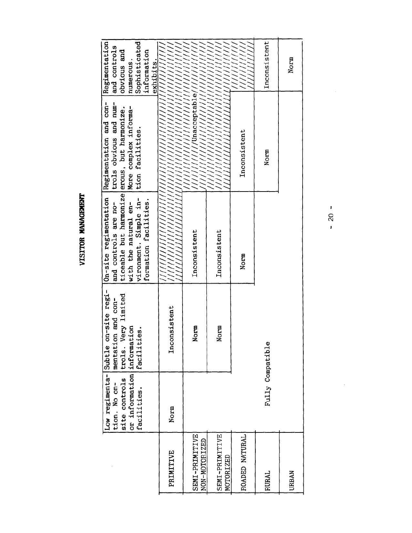VISITOR MANAGEMENT

|                                 | or information information<br>site controls<br>tion. No on-<br>facilities. | Low regimenta-Subtle on-site regi-<br>trols. Very limited<br>mentation and con-<br>facilities. | On-site regimentation Regimentation and con-<br>ticeable but harmonize erous, but harmonize.<br>vironment. Simple in-<br>formation facilities.<br>with the natural en-<br>and controls are no- | trols obvious and num-<br>More complex informa-<br>tion facilities. | Sophisticated<br>Regimentation<br>and controls<br>obvious and<br>information<br>numerous<br>exhibits |
|---------------------------------|----------------------------------------------------------------------------|------------------------------------------------------------------------------------------------|------------------------------------------------------------------------------------------------------------------------------------------------------------------------------------------------|---------------------------------------------------------------------|------------------------------------------------------------------------------------------------------|
| PRIMITIVE                       | Norm                                                                       | Inconsistent                                                                                   |                                                                                                                                                                                                |                                                                     |                                                                                                      |
| SEMI-PRIMITIVE<br>NON-MOTORIZED |                                                                            | Norm                                                                                           | Inconsistent                                                                                                                                                                                   | $1/1/1$ /Unacceptable////<br>///                                    |                                                                                                      |
| SEMI-PRIMITIVE<br>MOTORIZED     |                                                                            | Norm                                                                                           | Inconsistent                                                                                                                                                                                   |                                                                     |                                                                                                      |
| ROADED NATURAL                  |                                                                            |                                                                                                | Norm                                                                                                                                                                                           | Inconsistent                                                        |                                                                                                      |
| RURAL                           | Fully Compatible                                                           |                                                                                                |                                                                                                                                                                                                | Norm                                                                | Inconsistent                                                                                         |
| <b>URBAN</b>                    |                                                                            |                                                                                                |                                                                                                                                                                                                |                                                                     | Norm                                                                                                 |

 $-20 -$ 

 $\tilde{\Sigma}$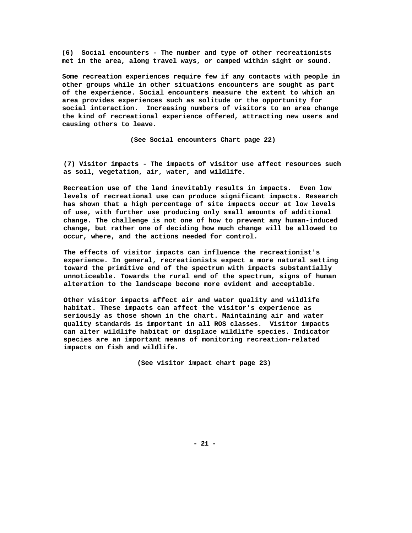**(6) Social encounters - The number and type of other recreationists met in the area, along travel ways, or camped within sight or sound.** 

**Some recreation experiences require few if any contacts with people in other groups while in other situations encounters are sought as part of the experience. Social encounters measure the extent to which an area provides experiences such as solitude or the opportunity for social interaction. Increasing numbers of visitors to an area change the kind of recreational experience offered, attracting new users and causing others to leave.** 

**(See Social encounters Chart page 22)** 

**(7) Visitor impacts - The impacts of visitor use affect resources such as soil, vegetation, air, water, and wildlife.** 

**Recreation use of the land inevitably results in impacts. Even low levels of recreational use can produce significant impacts. Research has shown that a high percentage of site impacts occur at low levels of use, with further use producing only small amounts of additional change. The challenge is not one of how to prevent any human-induced change, but rather one of deciding how much change will be allowed to occur, where, and the actions needed for control.** 

**The effects of visitor impacts can influence the recreationist's experience. In general, recreationists expect a more natural setting toward the primitive end of the spectrum with impacts substantially unnoticeable. Towards the rural end of the spectrum, signs of human alteration to the landscape become more evident and acceptable.** 

**Other visitor impacts affect air and water quality and wildlife habitat. These impacts can affect the visitor's experience as seriously as those shown in the chart. Maintaining air and water quality standards is important in all ROS classes. Visitor impacts can alter wildlife habitat or displace wildlife species. Indicator species are an important means of monitoring recreation-related impacts on fish and wildlife.** 

**(See visitor impact chart page 23)**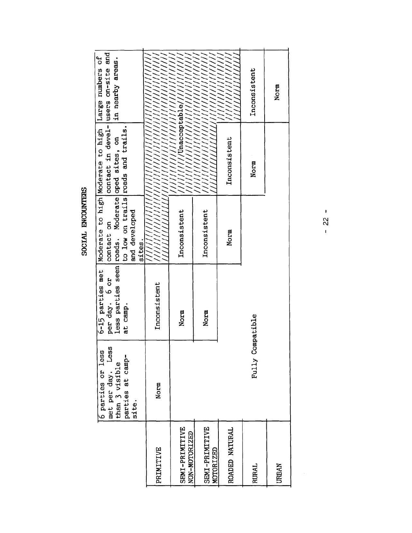SOCIAL ENCOUNTERS

|                                    | Less<br>6 parties or less<br>parties at camp-<br>met per day. I<br>than 3 visible<br>site. | less parties seen roads. Moderate oped sites, on<br>6-15 parties met<br>per day. 6 or<br>at camp. | to low on trails roads and trails.<br>and developed<br>contact on<br>sites. | contact in devel- users on-site and<br>Moderate to high Moderate to high Large numbers of | in nearby areas.            |
|------------------------------------|--------------------------------------------------------------------------------------------|---------------------------------------------------------------------------------------------------|-----------------------------------------------------------------------------|-------------------------------------------------------------------------------------------|-----------------------------|
| PRIMITIVE                          | Norm                                                                                       | Inconsistent                                                                                      |                                                                             | лининги ангийн ангийн ангийн ангийн а                                                     |                             |
| SEMI-PRIMITIVE<br>NON-MOTORIZED    |                                                                                            | Norm                                                                                              | Inconsistent                                                                | ////////Vnacceptable///////                                                               |                             |
| SEMI-PRIMITIVE<br><b>MOTORIZED</b> |                                                                                            | Norm                                                                                              | Inconsistent                                                                |                                                                                           |                             |
| ROADED NATURAL                     |                                                                                            |                                                                                                   | Norm                                                                        | Inconsistent                                                                              | ,,,,,,,,,,,,<br>,,,,,,,,,,, |
| <b>RURAL</b>                       | Fully Compatible                                                                           |                                                                                                   |                                                                             | Norm                                                                                      | Inconsistent                |
| URBAN                              |                                                                                            |                                                                                                   |                                                                             |                                                                                           | Norm                        |

 $-22$  -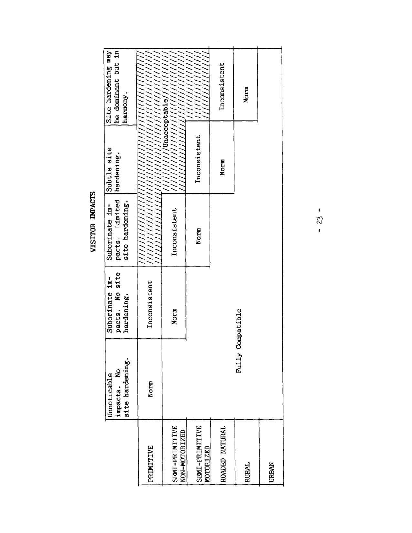VISITOR IMPACTS

|                                 | site hardening.<br>impacts. No<br>Unnoticable | pacts. No site<br>Suborinate im-<br>hardening. | pacts. Limited<br>site hardening.<br>Suborinate im- | Subtle site<br>hardening.           | Site hardening may<br>be dominant but in<br>harmony.                        |
|---------------------------------|-----------------------------------------------|------------------------------------------------|-----------------------------------------------------|-------------------------------------|-----------------------------------------------------------------------------|
| PRIMITIVE                       | Norm                                          | Inconsistent                                   |                                                     | <u>ЧИНИЦИИНИНИНИНИНИНИНИНИНИНИН</u> |                                                                             |
| SEMI-PRIMITIVE<br>NON-MOTORIZED |                                               | Norm                                           | Inconsistent                                        |                                     | ///////////Unacceptable///////////<br>,,,,,,,,,,,,,,,,,,,,,,,,,,,,,,,,,,,,, |
| SEMI-PRIMITIVE<br>MOTORIZED     |                                               |                                                | Norm                                                | Inconsistent                        |                                                                             |
| ROADED NATURAL                  |                                               |                                                |                                                     | Norm                                | Inconsistent                                                                |
| RURAL                           | Fully                                         | Compatible                                     |                                                     |                                     | Norm                                                                        |
| <b>URBAN</b>                    |                                               |                                                |                                                     |                                     |                                                                             |

 $-23 -$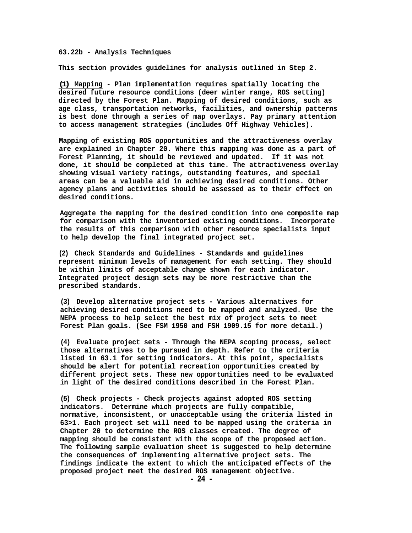#### **63.22b - Analysis Techniques**

**This section provides guidelines for analysis outlined in Step 2.**

**(1) Mapping - Plan implementation requires spatially locating the desired future resource conditions (deer winter range, ROS setting) directed by the Forest Plan. Mapping of desired conditions, such as age class, transportation networks, facilities, and ownership patterns is best done through a series of map overlays. Pay primary attention to access management strategies (includes Off Highway Vehicles).**

**Mapping of existing ROS opportunities and the attractiveness overlay are explained in Chapter 20. Where this mapping was done as a part of Forest Planning, it should be reviewed and updated. If it was not done, it should be completed at this time. The attractiveness overlay showing visual variety ratings, outstanding features, and special areas can be a valuable aid in achieving desired conditions. Other agency plans and activities should be assessed as to their effect on desired conditions.**

**Aggregate the mapping for the desired condition into one composite map for comparison with the inventoried existing conditions. Incorporate the results of this comparison with other resource specialists input to help develop the final integrated project set.**

**(2) Check Standards and Guidelines - Standards and guidelines represent minimum levels of management for each setting. They should be within limits of acceptable change shown for each indicator. Integrated project design sets may be more restrictive than the prescribed standards.**

**(3) Develop alternative project sets - Various alternatives for achieving desired conditions need to be mapped and analyzed. Use the NEPA process to help select the best mix of project sets to meet Forest Plan goals. (See FSM 1950 and FSH 1909.15 for more detail.)**

**(4) Evaluate project sets - Through the NEPA scoping process, select those alternatives to be pursued in depth. Refer to the criteria listed in 63.1 for setting indicators. At this point, specialists should be alert for potential recreation opportunities created by different project sets. These new opportunities need to be evaluated in light of the desired conditions described in the Forest Plan.** 

**(5) Check projects - Check projects against adopted ROS setting indicators. Determine which projects are fully compatible, normative, inconsistent, or unacceptable using the criteria listed in 63>1. Each project set will need to be mapped using the criteria in Chapter 20 to determine the ROS classes created. The degree of mapping should be consistent with the scope of the proposed action. The following sample evaluation sheet is suggested to help determine the consequences of implementing alternative project sets. The findings indicate the extent to which the anticipated effects of the**  proposed project meet the desired ROS management objective.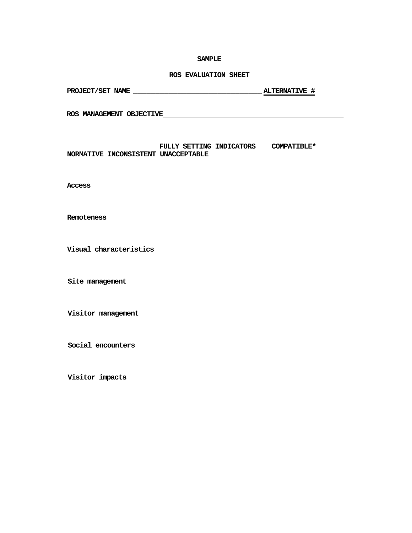#### **SAMPLE**

# **ROS EVALUATION SHEET**

| PROJECT/SET NAME | <b>ALTERNATIVE #</b> |  |
|------------------|----------------------|--|
|                  |                      |  |

**ROS MANAGEMENT OBJECTIVE**

# **FULLY SETTING INDICATORS COMPATIBLE\* NORMATIVE INCONSISTENT UNACCEPTABLE**

**Access**

**Remoteness**

**Visual characteristics**

**Site management**

**Visitor management**

**Social encounters**

**Visitor impacts**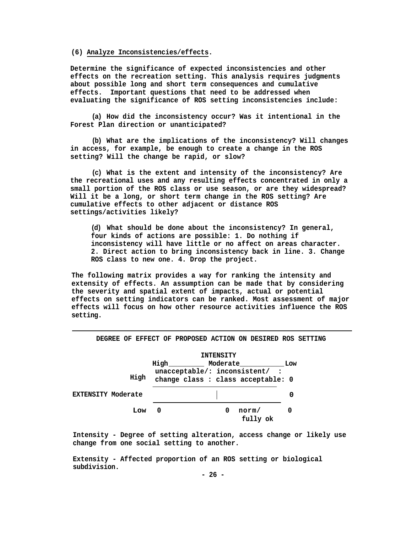#### **(6) Analyze Inconsistencies/effects.**

**Determine the significance of expected inconsistencies and other effects on the recreation setting. This analysis requires judgments about possible long and short term consequences and cumulative effects. Important questions that need to be addressed when evaluating the significance of ROS setting inconsistencies include:**

**(a) How did the inconsistency occur? Was it intentional in the Forest Plan direction or unanticipated?** 

**(b) What are the implications of the inconsistency? Will changes in access, for example, be enough to create a change in the ROS setting? Will the change be rapid, or slow?** 

**(c) What is the extent and intensity of the inconsistency? Are the recreational uses and any resulting effects concentrated in only a small portion of the ROS class or use season, or are they widespread? Will it be a long, or short term change in the ROS setting? Are cumulative effects to other adjacent or distance ROS settings/activities likely?** 

**(d) What should be done about the inconsistency? In general, four kinds of actions are possible: 1. Do nothing if inconsistency will have little or no affect on areas character. 2. Direct action to bring inconsistency back in line. 3. Change ROS class to new one. 4. Drop the project.**

**The following matrix provides a way for ranking the intensity and extensity of effects. An assumption can be made that by considering the severity and spatial extent of impacts, actual or potential effects on setting indicators can be ranked. Most assessment of major effects will focus on how other resource activities influence the ROS setting.**



**DEGREE OF EFFECT OF PROPOSED ACTION ON DESIRED ROS SETTING**

**Intensity - Degree of setting alteration, access change or likely use change from one social setting to another.**

**Extensity - Affected proportion of an ROS setting or biological subdivision.**